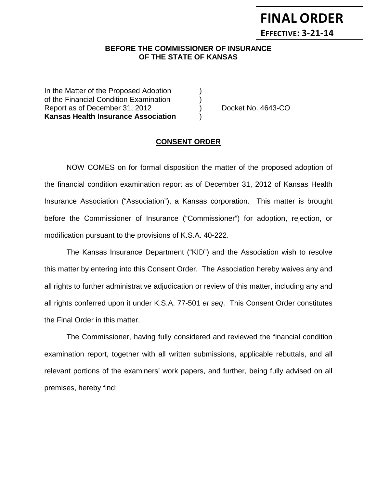## **BEFORE THE COMMISSIONER OF INSURANCE OF THE STATE OF KANSAS**

In the Matter of the Proposed Adoption of the Financial Condition Examination ) Report as of December 31, 2012 (a) Docket No. 4643-CO **Kansas Health Insurance Association** )

**FINAL ORDER**

**EFFECTIVE: 3-21-14**

### **CONSENT ORDER**

NOW COMES on for formal disposition the matter of the proposed adoption of the financial condition examination report as of December 31, 2012 of Kansas Health Insurance Association ("Association"), a Kansas corporation. This matter is brought before the Commissioner of Insurance ("Commissioner") for adoption, rejection, or modification pursuant to the provisions of K.S.A. 40-222.

The Kansas Insurance Department ("KID") and the Association wish to resolve this matter by entering into this Consent Order. The Association hereby waives any and all rights to further administrative adjudication or review of this matter, including any and all rights conferred upon it under K.S.A. 77-501 *et seq*. This Consent Order constitutes the Final Order in this matter.

The Commissioner, having fully considered and reviewed the financial condition examination report, together with all written submissions, applicable rebuttals, and all relevant portions of the examiners' work papers, and further, being fully advised on all premises, hereby find: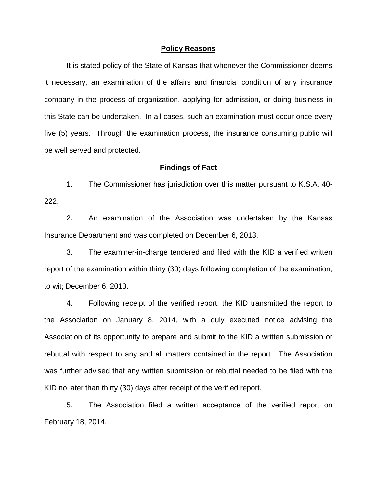#### **Policy Reasons**

It is stated policy of the State of Kansas that whenever the Commissioner deems it necessary, an examination of the affairs and financial condition of any insurance company in the process of organization, applying for admission, or doing business in this State can be undertaken. In all cases, such an examination must occur once every five (5) years. Through the examination process, the insurance consuming public will be well served and protected.

### **Findings of Fact**

1. The Commissioner has jurisdiction over this matter pursuant to K.S.A. 40- 222.

2. An examination of the Association was undertaken by the Kansas Insurance Department and was completed on December 6, 2013.

3. The examiner-in-charge tendered and filed with the KID a verified written report of the examination within thirty (30) days following completion of the examination, to wit; December 6, 2013.

4. Following receipt of the verified report, the KID transmitted the report to the Association on January 8, 2014, with a duly executed notice advising the Association of its opportunity to prepare and submit to the KID a written submission or rebuttal with respect to any and all matters contained in the report. The Association was further advised that any written submission or rebuttal needed to be filed with the KID no later than thirty (30) days after receipt of the verified report.

5. The Association filed a written acceptance of the verified report on February 18, 2014.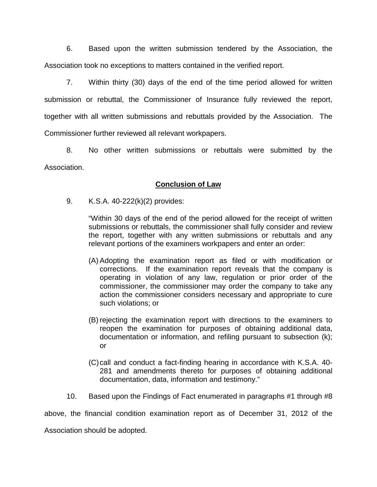6. Based upon the written submission tendered by the Association, the Association took no exceptions to matters contained in the verified report.

7. Within thirty (30) days of the end of the time period allowed for written submission or rebuttal, the Commissioner of Insurance fully reviewed the report, together with all written submissions and rebuttals provided by the Association. The Commissioner further reviewed all relevant workpapers.

8. No other written submissions or rebuttals were submitted by the Association.

## **Conclusion of Law**

9. K.S.A. 40-222(k)(2) provides:

"Within 30 days of the end of the period allowed for the receipt of written submissions or rebuttals, the commissioner shall fully consider and review the report, together with any written submissions or rebuttals and any relevant portions of the examiners workpapers and enter an order:

- (A) Adopting the examination report as filed or with modification or corrections. If the examination report reveals that the company is operating in violation of any law, regulation or prior order of the commissioner, the commissioner may order the company to take any action the commissioner considers necessary and appropriate to cure such violations; or
- (B) rejecting the examination report with directions to the examiners to reopen the examination for purposes of obtaining additional data, documentation or information, and refiling pursuant to subsection (k); or
- (C)call and conduct a fact-finding hearing in accordance with K.S.A. 40- 281 and amendments thereto for purposes of obtaining additional documentation, data, information and testimony."
- 10. Based upon the Findings of Fact enumerated in paragraphs #1 through #8

above, the financial condition examination report as of December 31, 2012 of the

Association should be adopted.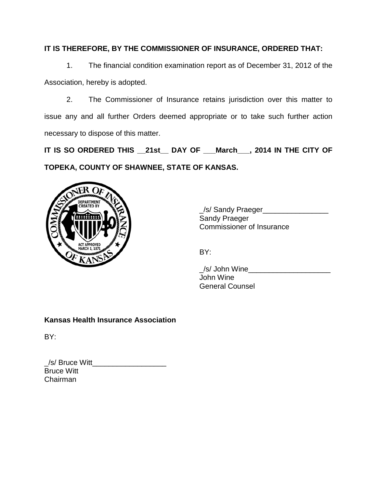# **IT IS THEREFORE, BY THE COMMISSIONER OF INSURANCE, ORDERED THAT:**

1. The financial condition examination report as of December 31, 2012 of the Association, hereby is adopted.

2. The Commissioner of Insurance retains jurisdiction over this matter to issue any and all further Orders deemed appropriate or to take such further action necessary to dispose of this matter.

**IT IS SO ORDERED THIS \_\_21st\_\_ DAY OF \_\_\_March\_\_\_, 2014 IN THE CITY OF TOPEKA, COUNTY OF SHAWNEE, STATE OF KANSAS.**



\_/s/ Sandy Praeger\_\_\_\_\_\_\_\_\_\_\_\_\_\_\_\_ Sandy Praeger Commissioner of Insurance

BY:

\_/s/ John Wine\_\_\_\_\_\_\_\_\_\_\_\_\_\_\_\_\_\_\_\_ John Wine General Counsel

# **Kansas Health Insurance Association**

BY:

| $\angle$ s/ Bruce Witt |  |
|------------------------|--|
| <b>Bruce Witt</b>      |  |
| Chairman               |  |